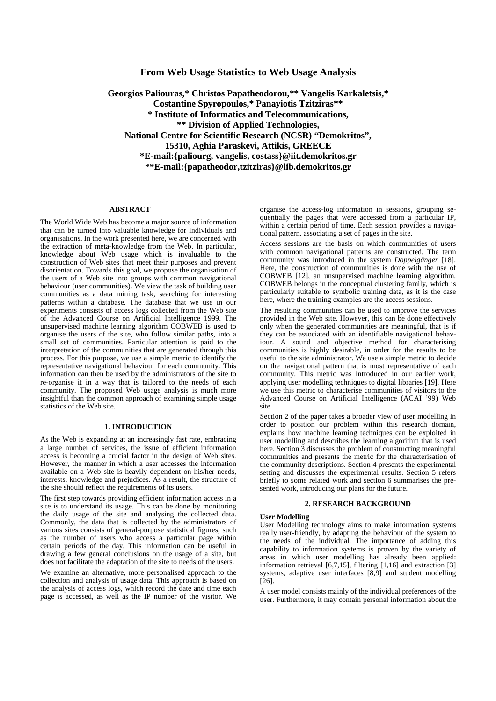# **From Web Usage Statistics to Web Usage Analysis**

**Georgios Paliouras,\* Christos Papatheodorou,\*\* Vangelis Karkaletsis,\* Costantine Spyropoulos,\* Panayiotis Tzitziras\*\* \* Institute of Informatics and Telecommunications, \*\* Division of Applied Technologies, National Centre for Scientific Research (NCSR) "Demokritos", 15310, Aghia Paraskevi, Attikis, GREECE \*E-mail:{paliourg, vangelis, costass}@iit.demokritos.gr \*\*E-mail:{papatheodor,tzitziras}@lib.demokritos.gr**

## **ABSTRACT**

The World Wide Web has become a major source of information that can be turned into valuable knowledge for individuals and organisations. In the work presented here, we are concerned with the extraction of meta-knowledge from the Web. In particular, knowledge about Web usage which is invaluable to the construction of Web sites that meet their purposes and prevent disorientation. Towards this goal, we propose the organisation of the users of a Web site into groups with common navigational behaviour (user communities). We view the task of building user communities as a data mining task, searching for interesting patterns within a database. The database that we use in our experiments consists of access logs collected from the Web site of the Advanced Course on Artificial Intelligence 1999. The unsupervised machine learning algorithm COBWEB is used to organise the users of the site, who follow similar paths, into a small set of communities. Particular attention is paid to the interpretation of the communities that are generated through this process. For this purpose, we use a simple metric to identify the representative navigational behaviour for each community. This information can then be used by the administrators of the site to re-organise it in a way that is tailored to the needs of each community. The proposed Web usage analysis is much more insightful than the common approach of examining simple usage statistics of the Web site.

# **1. INTRODUCTION**

As the Web is expanding at an increasingly fast rate, embracing a large number of services, the issue of efficient information access is becoming a crucial factor in the design of Web sites. However, the manner in which a user accesses the information available on a Web site is heavily dependent on his/her needs, interests, knowledge and prejudices. As a result, the structure of the site should reflect the requirements of its users.

The first step towards providing efficient information access in a site is to understand its usage. This can be done by monitoring the daily usage of the site and analysing the collected data. Commonly, the data that is collected by the administrators of various sites consists of general-purpose statistical figures, such as the number of users who access a particular page within certain periods of the day. This information can be useful in drawing a few general conclusions on the usage of a site, but does not facilitate the adaptation of the site to needs of the users.

We examine an alternative, more personalised approach to the collection and analysis of usage data. This approach is based on the analysis of access logs, which record the date and time each page is accessed, as well as the IP number of the visitor. We organise the access-log information in sessions, grouping sequentially the pages that were accessed from a particular IP, within a certain period of time. Each session provides a navigational pattern, associating a set of pages in the site.

Access sessions are the basis on which communities of users with common navigational patterns are constructed. The term community was introduced in the system *Doppelgänger* [18]. Here, the construction of communities is done with the use of COBWEB [12], an unsupervised machine learning algorithm. COBWEB belongs in the conceptual clustering family, which is particularly suitable to symbolic training data, as it is the case here, where the training examples are the access sessions.

The resulting communities can be used to improve the services provided in the Web site. However, this can be done effectively only when the generated communities are meaningful, that is if they can be associated with an identifiable navigational behaviour. A sound and objective method for characterising communities is highly desirable, in order for the results to be useful to the site administrator. We use a simple metric to decide on the navigational pattern that is most representative of each community. This metric was introduced in our earlier work, applying user modelling techniques to digital libraries [19]. Here we use this metric to characterise communities of visitors to the Advanced Course on Artificial Intelligence (ACAI '99) Web site.

Section 2 of the paper takes a broader view of user modelling in order to position our problem within this research domain, explains how machine learning techniques can be exploited in user modelling and describes the learning algorithm that is used here. Section 3 discusses the problem of constructing meaningful communities and presents the metric for the characterisation of the community descriptions. Section 4 presents the experimental setting and discusses the experimental results. Section 5 refers briefly to some related work and section 6 summarises the presented work, introducing our plans for the future.

#### **2. RESEARCH BACKGROUND**

## **User Modelling**

User Modelling technology aims to make information systems really user-friendly, by adapting the behaviour of the system to the needs of the individual. The importance of adding this capability to information systems is proven by the variety of areas in which user modelling has already been applied: information retrieval [6,7,15], filtering [1,16] and extraction [3] systems, adaptive user interfaces [8,9] and student modelling [26].

A user model consists mainly of the individual preferences of the user. Furthermore, it may contain personal information about the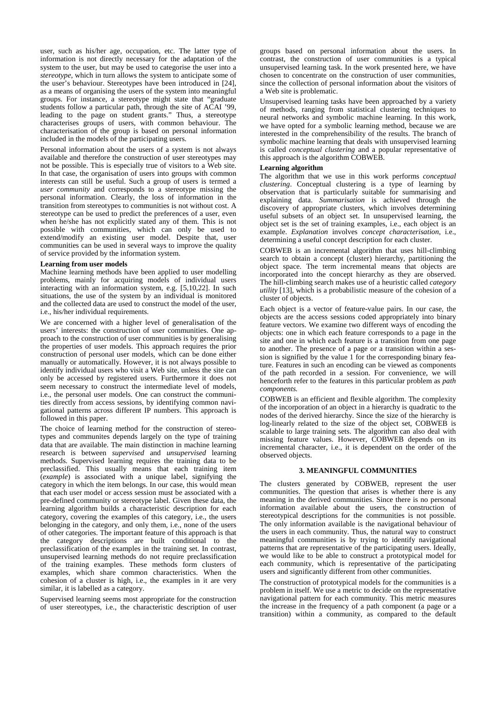user, such as his/her age, occupation, etc. The latter type of information is not directly necessary for the adaptation of the system to the user, but may be used to categorise the user into a *stereotype*, which in turn allows the system to anticipate some of the user's behaviour. Stereotypes have been introduced in [24], as a means of organising the users of the system into meaningful groups. For instance, a stereotype might state that "graduate students follow a particular path, through the site of ACAI '99, leading to the page on student grants." Thus, a stereotype characterises groups of users, with common behaviour. The characterisation of the group is based on personal information included in the models of the participating users.

Personal information about the users of a system is not always available and therefore the construction of user stereotypes may not be possible. This is especially true of visitors to a Web site. In that case, the organisation of users into groups with common interests can still be useful. Such a group of users is termed a *user community* and corresponds to a stereotype missing the personal information. Clearly, the loss of information in the transition from stereotypes to communities is not without cost. A stereotype can be used to predict the preferences of a user, even when he/she has not explicitly stated any of them. This is not possible with communities, which can only be used to extend/modify an existing user model. Despite that, user communities can be used in several ways to improve the quality of service provided by the information system.

### **Learning from user models**

Machine learning methods have been applied to user modelling problems, mainly for acquiring models of individual users interacting with an information system, e.g. [5,10,22]. In such situations, the use of the system by an individual is monitored and the collected data are used to construct the model of the user, i.e., his/her individual requirements.

We are concerned with a higher level of generalisation of the users' interests: the construction of user communities. One approach to the construction of user communities is by generalising the properties of user models. This approach requires the prior construction of personal user models, which can be done either manually or automatically. However, it is not always possible to identify individual users who visit a Web site, unless the site can only be accessed by registered users. Furthermore it does not seem necessary to construct the intermediate level of models, i.e., the personal user models. One can construct the communities directly from access sessions, by identifying common navigational patterns across different IP numbers. This approach is followed in this paper.

The choice of learning method for the construction of stereotypes and communites depends largely on the type of training data that are available. The main distinction in machine learning research is between *supervised* and *unsupervised* learning methods. Supervised learning requires the training data to be preclassified. This usually means that each training item (*example*) is associated with a unique label, signifying the category in which the item belongs. In our case, this would mean that each user model or access session must be associated with a pre-defined community or stereotype label. Given these data, the learning algorithm builds a characteristic description for each category, covering the examples of this category, i.e., the users belonging in the category, and only them, i.e., none of the users of other categories. The important feature of this approach is that the category descriptions are built conditional to the preclassification of the examples in the training set. In contrast, unsupervised learning methods do not require preclassification of the training examples. These methods form clusters of examples, which share common characteristics. When the cohesion of a cluster is high, i.e., the examples in it are very similar, it is labelled as a category.

Supervised learning seems most appropriate for the construction of user stereotypes, i.e., the characteristic description of user

groups based on personal information about the users. In contrast, the construction of user communities is a typical unsupervised learning task. In the work presented here, we have chosen to concentrate on the construction of user communities, since the collection of personal information about the visitors of a Web site is problematic.

Unsupervised learning tasks have been approached by a variety of methods, ranging from statistical clustering techniques to neural networks and symbolic machine learning. In this work, we have opted for a symbolic learning method, because we are interested in the comprehensibility of the results. The branch of symbolic machine learning that deals with unsupervised learning is called *conceptual clustering* and a popular representative of this approach is the algorithm COBWEB.

# **Learning algorithm**

The algorithm that we use in this work performs *conceptual clustering*. Conceptual clustering is a type of learning by observation that is particularly suitable for summarising and explaining data. *Summarisation* is achieved through the discovery of appropriate clusters, which involves determining useful subsets of an object set. In unsupervised learning, the object set is the set of training examples, i.e., each object is an example. *Explanation* involves *concept characterisation*, i.e., determining a useful concept description for each cluster.

COBWEB is an incremental algorithm that uses hill-climbing search to obtain a concept (cluster) hierarchy, partitioning the object space. The term incremental means that objects are incorporated into the concept hierarchy as they are observed. The hill-climbing search makes use of a heuristic called *category utility* [13], which is a probabilistic measure of the cohesion of a cluster of objects.

Each object is a vector of feature-value pairs. In our case, the objects are the access sessions coded appropriately into binary feature vectors. We examine two different ways of encoding the objects: one in which each feature corresponds to a page in the site and one in which each feature is a transition from one page to another. The presence of a page or a transition within a session is signified by the value 1 for the corresponding binary feature. Features in such an encoding can be viewed as components of the path recorded in a session. For convenience, we will henceforth refer to the features in this particular problem as *path components.*

COBWEB is an efficient and flexible algorithm. The complexity of the incorporation of an object in a hierarchy is quadratic to the nodes of the derived hierarchy. Since the size of the hierarchy is log-linearly related to the size of the object set, COBWEB is scalable to large training sets. The algorithm can also deal with missing feature values. However, COBWEB depends on its incremental character, i.e., it is dependent on the order of the observed objects.

# **3. MEANINGFUL COMMUNITIES**

The clusters generated by COBWEB, represent the user communities. The question that arises is whether there is any meaning in the derived communities. Since there is no personal information available about the users, the construction of stereotypical descriptions for the communities is not possible. The only information available is the navigational behaviour of the users in each community. Thus, the natural way to construct meaningful communities is by trying to identify navigational patterns that are representative of the participating users. Ideally, we would like to be able to construct a prototypical model for each community, which is representative of the participating users and significantly different from other communities.

The construction of prototypical models for the communities is a problem in itself. We use a metric to decide on the representative navigational pattern for each community. This metric measures the increase in the frequency of a path component (a page or a transition) within a community, as compared to the default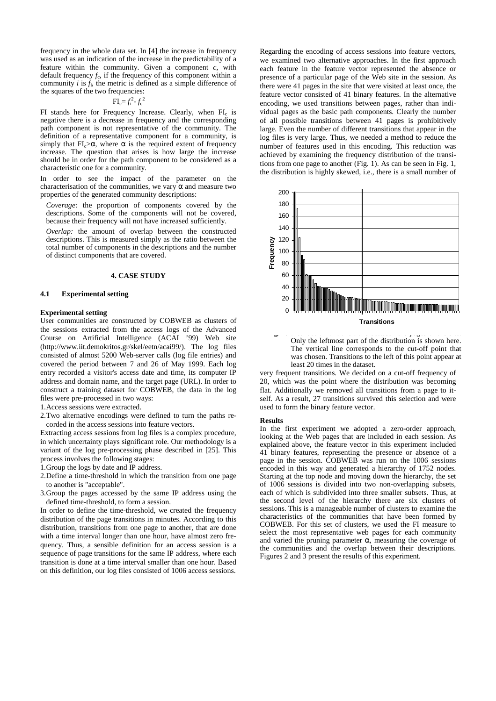frequency in the whole data set. In [4] the increase in frequency was used as an indication of the increase in the predictability of a feature within the community. Given a component *c*, with default frequency  $f_c$ , if the frequency of this component within a community  $i$  is  $f_i$ , the metric is defined as a simple difference of the squares of the two frequencies:

$$
FI_c = f_i^2 - f_c^2
$$

FI stands here for Frequency Increase. Clearly, when  $FI_c$  is negative there is a decrease in frequency and the corresponding path component is not representative of the community. The definition of a representative component for a community, is simply that  $FI_c > \alpha$ , where  $\alpha$  is the required extent of frequency increase. The question that arises is how large the increase should be in order for the path component to be considered as a characteristic one for a community.

In order to see the impact of the parameter on the characterisation of the communities, we vary  $\alpha$  and measure two properties of the generated community descriptions:

*Coverage:* the proportion of components covered by the descriptions. Some of the components will not be covered, because their frequency will not have increased sufficiently.

*Overlap:* the amount of overlap between the constructed descriptions. This is measured simply as the ratio between the total number of components in the descriptions and the number of distinct components that are covered.

#### **4. CASE STUDY**

## **4.1 Experimental setting**

# **Experimental setting**

User communities are constructed by COBWEB as clusters of the sessions extracted from the access logs of the Advanced Course on Artificial Intelligence (ACAI '99) Web site (http://www.iit.demokritos.gr/skel/eetn/acai99/). The log files consisted of almost 5200 Web-server calls (log file entries) and covered the period between 7 and 26 of May 1999. Each log entry recorded a visitor's access date and time, its computer IP address and domain name, and the target page (URL). In order to construct a training dataset for COBWEB, the data in the log files were pre-processed in two ways:

1.Access sessions were extracted.

2.Two alternative encodings were defined to turn the paths recorded in the access sessions into feature vectors.

Extracting access sessions from log files is a complex procedure, in which uncertainty plays significant role. Our methodology is a variant of the log pre-processing phase described in [25]. This process involves the following stages:

1.Group the logs by date and IP address.

2.Define a time-threshold in which the transition from one page to another is "acceptable".

3.Group the pages accessed by the same IP address using the defined time-threshold, to form a session.

In order to define the time-threshold, we created the frequency distribution of the page transitions in minutes. According to this distribution, transitions from one page to another, that are done with a time interval longer than one hour, have almost zero frequency. Thus, a sensible definition for an access session is a sequence of page transitions for the same IP address, where each transition is done at a time interval smaller than one hour. Based on this definition, our log files consisted of 1006 access sessions.

Regarding the encoding of access sessions into feature vectors, we examined two alternative approaches. In the first approach each feature in the feature vector represented the absence or presence of a particular page of the Web site in the session. As there were 41 pages in the site that were visited at least once, the feature vector consisted of 41 binary features. In the alternative encoding, we used transitions between pages, rather than individual pages as the basic path components. Clearly the number of all possible transitions between 41 pages is prohibitively large. Even the number of different transitions that appear in the log files is very large. Thus, we needed a method to reduce the number of features used in this encoding. This reduction was achieved by examining the frequency distribution of the transitions from one page to another (Fig. 1). As can be seen in Fig. 1, the distribution is highly skewed, i.e., there is a small number of



Only the leftmost part of the distribution is shown here. The vertical line corresponds to the cut-off point that was chosen. Transitions to the left of this point appear at least 20 times in the dataset.

very frequent transitions. We decided on a cut-off frequency of 20, which was the point where the distribution was becoming flat. Additionally we removed all transitions from a page to itself. As a result, 27 transitions survived this selection and were used to form the binary feature vector.

#### **Results**

In the first experiment we adopted a zero-order approach, looking at the Web pages that are included in each session. As explained above, the feature vector in this experiment included 41 binary features, representing the presence or absence of a page in the session. COBWEB was run on the 1006 sessions encoded in this way and generated a hierarchy of 1752 nodes. Starting at the top node and moving down the hierarchy, the set of 1006 sessions is divided into two non-overlapping subsets, each of which is subdivided into three smaller subsets. Thus, at the second level of the hierarchy there are six clusters of sessions. This is a manageable number of clusters to examine the characteristics of the communities that have been formed by COBWEB. For this set of clusters, we used the FI measure to select the most representative web pages for each community and varied the pruning parameter  $\alpha$ , measuring the coverage of the communities and the overlap between their descriptions. Figures 2 and 3 present the results of this experiment.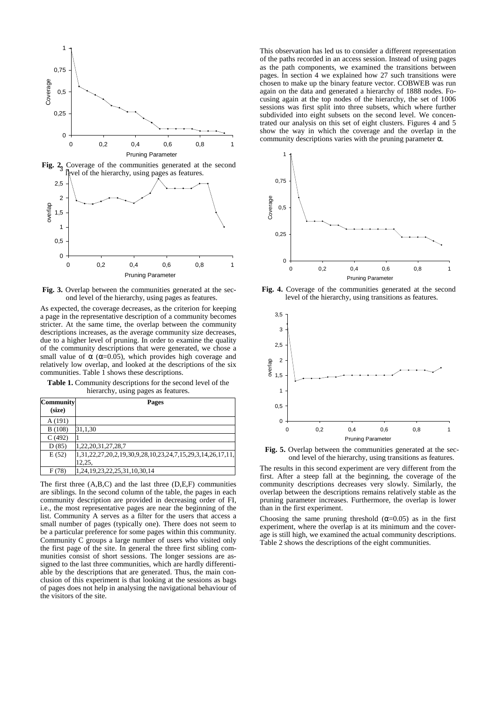



Fig. 3. Overlap between the communities generated at the second level of the hierarchy, using pages as features.

As expected, the coverage decreases, as the criterion for keeping a page in the representative description of a community becomes stricter. At the same time, the overlap between the community descriptions increases, as the average community size decreases, due to a higher level of pruning. In order to examine the quality of the community descriptions that were generated, we chose a small value of  $\alpha$  ( $\alpha$ =0.05), which provides high coverage and relatively low overlap, and looked at the descriptions of the six communities. Table 1 shows these descriptions.

**Table 1.** Community descriptions for the second level of the hierarchy, using pages as features.

| <b>Community</b><br>(size) | Pages                                                                |
|----------------------------|----------------------------------------------------------------------|
| A(191)                     |                                                                      |
| B(108)                     | 31,1,30                                                              |
| C(492)                     |                                                                      |
| D(85)                      | 1,22,20,31,27,28,7                                                   |
| E(52)                      | 1,31,22,27,20,2,19,30,9,28,10,23,24,7,15,29,3,14,26,17,11,<br>12,25, |
| F(78)                      | 1,24,19,23,22,25,31,10,30,14                                         |

The first three (A,B,C) and the last three (D,E,F) communities are siblings. In the second column of the table, the pages in each community description are provided in decreasing order of FI, i.e., the most representative pages are near the beginning of the list. Community A serves as a filter for the users that access a small number of pages (typically one). There does not seem to be a particular preference for some pages within this community. Community C groups a large number of users who visited only the first page of the site. In general the three first sibling communities consist of short sessions. The longer sessions are assigned to the last three communities, which are hardly differentiable by the descriptions that are generated. Thus, the main conclusion of this experiment is that looking at the sessions as bags of pages does not help in analysing the navigational behaviour of the visitors of the site.

This observation has led us to consider a different representation of the paths recorded in an access session. Instead of using pages as the path components, we examined the transitions between pages. In section 4 we explained how 27 such transitions were chosen to make up the binary feature vector. COBWEB was run again on the data and generated a hierarchy of 1888 nodes. Focusing again at the top nodes of the hierarchy, the set of 1006 sessions was first split into three subsets, which where further subdivided into eight subsets on the second level. We concentrated our analysis on this set of eight clusters. Figures 4 and 5 show the way in which the coverage and the overlap in the community descriptions varies with the pruning parameter  $\alpha$ .



**Fig. 4.** Coverage of the communities generated at the second level of the hierarchy, using transitions as features.



**Fig. 5.** Overlap between the communities generated at the second level of the hierarchy, using transitions as features.

The results in this second experiment are very different from the first. After a steep fall at the beginning, the coverage of the community descriptions decreases very slowly. Similarly, the overlap between the descriptions remains relatively stable as the pruning parameter increases. Furthermore, the overlap is lower than in the first experiment.

Choosing the same pruning threshold  $(\alpha=0.05)$  as in the first experiment, where the overlap is at its minimum and the coverage is still high, we examined the actual community descriptions. Table 2 shows the descriptions of the eight communities.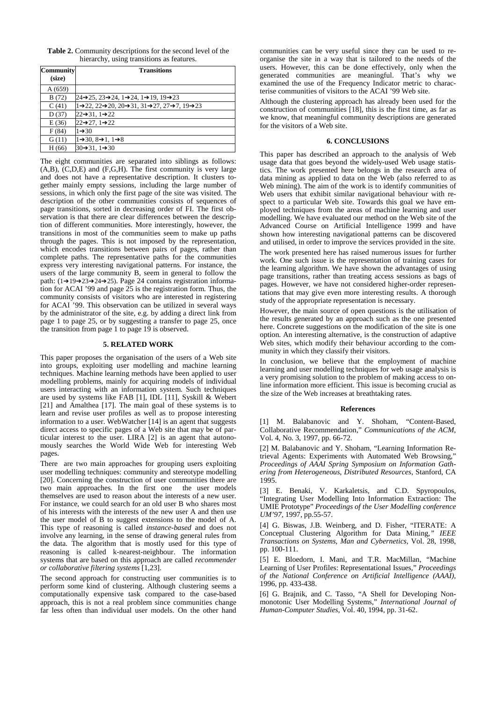**Table 2.** Community descriptions for the second level of the hierarchy, using transitions as features.

| <b>Community</b><br>(size) | <b>Transitions</b>                     |
|----------------------------|----------------------------------------|
| A(659)                     |                                        |
| B(72)                      | 24→25, 23→24, 1→24, 1→19, 19→23        |
| C(41)                      | 1→22, 22→20, 20→31, 31→27, 27→7, 19→23 |
| D(37)                      | $22 + 31, 1 + 22$                      |
| E(36)                      | $22 + 27, 1 + 22$                      |
| F(84)                      | $1+30$                                 |
| G(11)                      | $1+30, 8+1, 1+8$                       |
| H (66)                     | $30 + 31, 1 + 30$                      |

The eight communities are separated into siblings as follows: (A,B), (C,D,E) and (F,G,H). The first community is very large and does not have a representative description. It clusters together mainly empty sessions, including the large number of sessions, in which only the first page of the site was visited. The description of the other communities consists of sequences of page transitions, sorted in decreasing order of FI. The first observation is that there are clear differences between the description of different communities. More interestingly, however, the transitions in most of the communities seem to make up paths through the pages. This is not imposed by the representation, which encodes transitions between pairs of pages, rather than complete paths. The representative paths for the communities express very interesting navigational patterns. For instance, the users of the large community B, seem in general to follow the path: (1➔19➔23➔24➔25). Page 24 contains registration information for ACAI '99 and page 25 is the registration form. Thus, the community consists of visitors who are interested in registering for ACAI '99. This observation can be utilized in several ways by the administrator of the site, e.g. by adding a direct link from page 1 to page 25, or by suggesting a transfer to page 25, once the transition from page 1 to page 19 is observed.

# **5. RELATED WORK**

This paper proposes the organisation of the users of a Web site into groups, exploiting user modelling and machine learning techniques. Machine learning methods have been applied to user modelling problems, mainly for acquiring models of individual users interacting with an information system. Such techniques are used by systems like FAB [1], IDL [11], Syskill & Webert [21] and Amalthea [17]. The main goal of these systems is to learn and revise user profiles as well as to propose interesting information to a user. WebWatcher [14] is an agent that suggests direct access to specific pages of a Web site that may be of particular interest to the user. LIRA [2] is an agent that autonomously searches the World Wide Web for interesting Web pages.

There are two main approaches for grouping users exploiting user modelling techniques: community and stereotype modelling [20]. Concerning the construction of user communities there are two main approaches. In the first one the user models themselves are used to reason about the interests of a new user. For instance, we could search for an old user B who shares most of his interests with the interests of the new user A and then use the user model of B to suggest extensions to the model of A. This type of reasoning is called *instance-based* and does not involve any learning, in the sense of drawing general rules from the data. The algorithm that is mostly used for this type of reasoning is called k-nearest-neighbour. The information systems that are based on this approach are called *recommender or collaborative filtering systems* [1,23].

The second approach for constructing user communities is to perform some kind of clustering. Although clustering seems a computationally expensive task compared to the case-based approach, this is not a real problem since communities change far less often than individual user models. On the other hand

communities can be very useful since they can be used to reorganise the site in a way that is tailored to the needs of the users. However, this can be done effectively, only when the generated communities are meaningful. That's why we examined the use of the Frequency Indicator metric to characterise communities of visitors to the ACAI '99 Web site.

Although the clustering approach has already been used for the construction of communities [18], this is the first time, as far as we know, that meaningful community descriptions are generated for the visitors of a Web site.

### **6. CONCLUSIONS**

This paper has described an approach to the analysis of Web usage data that goes beyond the widely-used Web usage statistics. The work presented here belongs in the research area of data mining as applied to data on the Web (also referred to as Web mining). The aim of the work is to identify communities of Web users that exhibit similar navigational behaviour with respect to a particular Web site. Towards this goal we have employed techniques from the areas of machine learning and user modelling. We have evaluated our method on the Web site of the Advanced Course on Artificial Intelligence 1999 and have shown how interesting navigational patterns can be discovered and utilised, in order to improve the services provided in the site. The work presented here has raised numerous issues for further work. One such issue is the representation of training cases for the learning algorithm. We have shown the advantages of using page transitions, rather than treating access sessions as bags of pages. However, we have not considered higher-order representations that may give even more interesting results. A thorough

study of the appropriate representation is necessary. However, the main source of open questions is the utilisation of the results generated by an approach such as the one presented here. Concrete suggestions on the modification of the site is one option. An interesting alternative, is the construction of adaptive Web sites, which modify their behaviour according to the community in which they classify their visitors.

In conclusion, we believe that the employment of machine learning and user modelling techniques for web usage analysis is a very promising solution to the problem of making access to online information more efficient. This issue is becoming crucial as the size of the Web increases at breathtaking rates.

#### **References**

[1] M. Balabanovic and Y. Shoham, "Content-Based, Collaborative Recommendation," *Communications of the ACM,* Vol. 4, No. 3, 1997, pp. 66-72.

[2] M. Balabanovic and Y. Shoham, "Learning Information Retrieval Agents: Experiments with Automated Web Browsing," *Proceedings of AAAI Spring Symposium on Information Gathering from Heterogeneous, Distributed Resources*, Stanford, CA 1995.

[3] E. Benaki, V. Karkaletsis, and C.D. Spyropoulos, "Integrating User Modelling Into Information Extraction: The UMIE Prototype" *Proceedings of the User Modelling conference UM'97*, 1997, pp.55-57.

[4] G. Biswas, J.B. Weinberg, and D. Fisher, "ITERATE: A Conceptual Clustering Algorithm for Data Mining*," IEEE Transactions on Systems, Man and Cybernetics,* Vol. 28, 1998, pp. 100-111.

[5] E. Bloedorn, I. Mani, and T.R. MacMillan, "Machine Learning of User Profiles: Representational Issues," *Proceedings of the National Conference on Artificial Intelligence (AAAI)*, 1996, pp. 433-438.

[6] G. Brajnik, and C. Tasso, "A Shell for Developing Nonmonotonic User Modelling Systems," *International Journal of Human-Computer Studies,* Vol. 40, 1994, pp. 31-62.